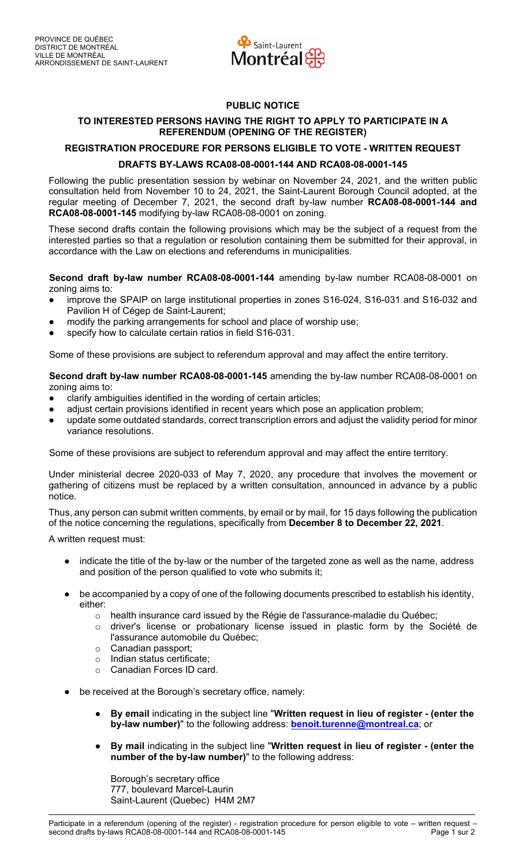

## **PUBLIC NOTICE**

## **TO INTERESTED PERSONS HAVING THE RIGHT TO APPLY TO PARTICIPATE IN A REFERENDUM (OPENING OF THE REGISTER)**

## **REGISTRATION PROCEDURE FOR PERSONS ELIGIBLE TO VOTE - WRITTEN REQUEST DRAFTS BY-LAWS RCA08-08-0001-144 AND RCA08-08-0001-145**

Following the public presentation session by webinar on November 24, 2021, and the written public consultation held from November 10 to 24, 2021, the Saint-Laurent Borough Council adopted, at the regular meeting of December 7, 2021, the second draft by-law number **RCA08-08-0001-144 and RCA08-08-0001-145** modifying by-law RCA08-08-0001 on zoning.

These second drafts contain the following provisions which may be the subject of a request from the interested parties so that a regulation or resolution containing them be submitted for their approval, in accordance with the Law on elections and referendums in municipalities.

**Second draft by-law number RCA08-08-0001-144** amending by-law number RCA08-08-0001 on zoning aims to:

- improve the SPAIP on large institutional properties in zones S16-024, S16-031 and S16-032 and Pavilion H of Cégep de Saint-Laurent;
- modify the parking arrangements for school and place of worship use;
- specify how to calculate certain ratios in field S16-031.

Some of these provisions are subject to referendum approval and may affect the entire territory.

**Second draft by-law number RCA08-08-0001-145** amending the by-law number RCA08-08-0001 on zoning aims to:

- clarify ambiguities identified in the wording of certain articles;
- adjust certain provisions identified in recent years which pose an application problem;
- update some outdated standards, correct transcription errors and adjust the validity period for minor variance resolutions.

Some of these provisions are subject to referendum approval and may affect the entire territory.

Under ministerial decree 2020-033 of May 7, 2020, any procedure that involves the movement or gathering of citizens must be replaced by a written consultation, announced in advance by a public notice.

Thus, any person can submit written comments, by email or by mail, for 15 days following the publication of the notice concerning the regulations, specifically from **December 8 to December 22, 2021**.

A written request must:

- indicate the title of the by-law or the number of the targeted zone as well as the name, address and position of the person qualified to vote who submits it;
- be accompanied by a copy of one of the following documents prescribed to establish his identity, either:
	- $\circ$  health insurance card issued by the Régie de l'assurance-maladie du Québec;
	- $\circ$  driver's license or probationary license issued in plastic form by the Société de l'assurance automobile du Québec;
	- o Canadian passport;
	- o Indian status certificate;
	- o Canadian Forces ID card.
- be received at the Borough's secretary office, namely:
	- **By email** indicating in the subject line "**Written request in lieu of register (enter the by-law number)**" to the following address: **benoit.turenne@montreal.ca**; or
	- **By mail** indicating in the subject line "**Written request in lieu of register (enter the number of the by-law number)**" to the following address:

Borough's secretary office 777, boulevard Marcel-Laurin Saint-Laurent (Quebec) H4M 2M7